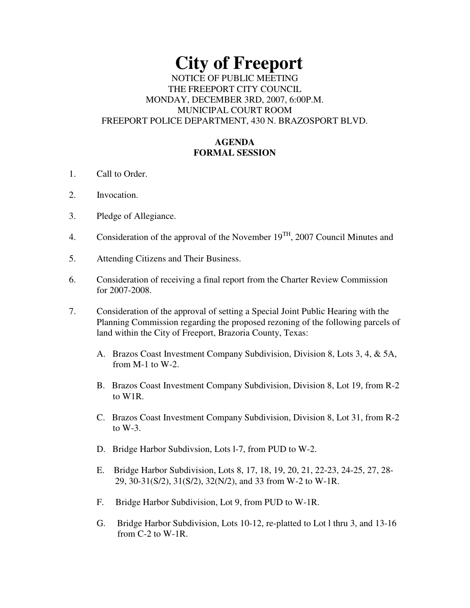# **City of Freeport**  NOTICE OF PUBLIC MEETING THE FREEPORT CITY COUNCIL MONDAY, DECEMBER 3RD, 2007, 6:00P.M. MUNICIPAL COURT ROOM FREEPORT POLICE DEPARTMENT, 430 N. BRAZOSPORT BLVD.

## **AGENDA FORMAL SESSION**

- 1. Call to Order.
- 2. Invocation.
- 3. Pledge of Allegiance.
- 4. Consideration of the approval of the November  $19^{TH}$ , 2007 Council Minutes and
- 5. Attending Citizens and Their Business.
- 6. Consideration of receiving a final report from the Charter Review Commission for 2007-2008.
- 7. Consideration of the approval of setting a Special Joint Public Hearing with the Planning Commission regarding the proposed rezoning of the following parcels of land within the City of Freeport, Brazoria County, Texas:
	- A. Brazos Coast Investment Company Subdivision, Division 8, Lots 3, 4, & 5A, from M-1 to W-2.
	- B. Brazos Coast Investment Company Subdivision, Division 8, Lot 19, from R-2 to W1R.
	- C. Brazos Coast Investment Company Subdivision, Division 8, Lot 31, from R-2 to  $W-3$ .
	- D. Bridge Harbor Subdivsion, Lots l-7, from PUD to W-2.
	- E. Bridge Harbor Subdivision, Lots 8, 17, 18, 19, 20, 21, 22-23, 24-25, 27, 28- 29, 30-31(S/2), 31(S/2), 32(N/2), and 33 from W-2 to W-1R.
	- F. Bridge Harbor Subdivision, Lot 9, from PUD to W-1R.
	- G. Bridge Harbor Subdivision, Lots 10-12, re-platted to Lot l thru 3, and 13-16 from C-2 to W-1R.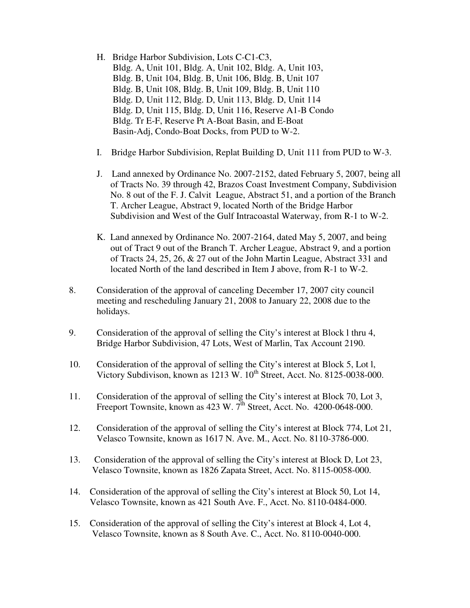- H. Bridge Harbor Subdivision, Lots C-C1-C3, Bldg. A, Unit 101, Bldg. A, Unit 102, Bldg. A, Unit 103, Bldg. B, Unit 104, Bldg. B, Unit 106, Bldg. B, Unit 107 Bldg. B, Unit 108, Bldg. B, Unit 109, Bldg. B, Unit 110 Bldg. D, Unit 112, Bldg. D, Unit 113, Bldg. D, Unit 114 Bldg. D, Unit 115, Bldg. D, Unit 116, Reserve A1-B Condo Bldg. Tr E-F, Reserve Pt A-Boat Basin, and E-Boat Basin-Adj, Condo-Boat Docks, from PUD to W-2.
- I. Bridge Harbor Subdivision, Replat Building D, Unit 111 from PUD to W-3.
- J. Land annexed by Ordinance No. 2007-2152, dated February 5, 2007, being all of Tracts No. 39 through 42, Brazos Coast Investment Company, Subdivision No. 8 out of the F. J. Calvit League, Abstract 51, and a portion of the Branch T. Archer League, Abstract 9, located North of the Bridge Harbor Subdivision and West of the Gulf Intracoastal Waterway, from R-1 to W-2.
- K. Land annexed by Ordinance No. 2007-2164, dated May 5, 2007, and being out of Tract 9 out of the Branch T. Archer League, Abstract 9, and a portion of Tracts 24, 25, 26, & 27 out of the John Martin League, Abstract 331 and located North of the land described in Item J above, from R-1 to W-2.
- 8. Consideration of the approval of canceling December 17, 2007 city council meeting and rescheduling January 21, 2008 to January 22, 2008 due to the holidays.
- 9. Consideration of the approval of selling the City's interest at Block l thru 4, Bridge Harbor Subdivision, 47 Lots, West of Marlin, Tax Account 2190.
- 10. Consideration of the approval of selling the City's interest at Block 5, Lot l, Victory Subdivison, known as 1213 W. 10<sup>th</sup> Street, Acct. No. 8125-0038-000.
- 11. Consideration of the approval of selling the City's interest at Block 70, Lot 3, Freeport Townsite, known as  $423 \text{ W}$ .  $7^{\text{th}}$  Street, Acct. No.  $4200\text{-}0648\text{-}000$ .
- 12. Consideration of the approval of selling the City's interest at Block 774, Lot 21, Velasco Townsite, known as 1617 N. Ave. M., Acct. No. 8110-3786-000.
- 13. Consideration of the approval of selling the City's interest at Block D, Lot 23, Velasco Townsite, known as 1826 Zapata Street, Acct. No. 8115-0058-000.
- 14. Consideration of the approval of selling the City's interest at Block 50, Lot 14, Velasco Townsite, known as 421 South Ave. F., Acct. No. 8110-0484-000.
- 15. Consideration of the approval of selling the City's interest at Block 4, Lot 4, Velasco Townsite, known as 8 South Ave. C., Acct. No. 8110-0040-000.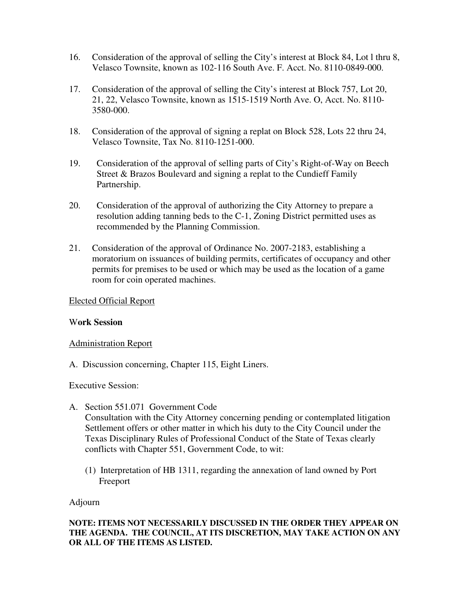- 16. Consideration of the approval of selling the City's interest at Block 84, Lot l thru 8, Velasco Townsite, known as 102-116 South Ave. F. Acct. No. 8110-0849-000.
- 17. Consideration of the approval of selling the City's interest at Block 757, Lot 20, 21, 22, Velasco Townsite, known as 1515-1519 North Ave. O, Acct. No. 8110- 3580-000.
- 18. Consideration of the approval of signing a replat on Block 528, Lots 22 thru 24, Velasco Townsite, Tax No. 8110-1251-000.
- 19. Consideration of the approval of selling parts of City's Right-of-Way on Beech Street & Brazos Boulevard and signing a replat to the Cundieff Family Partnership.
- 20. Consideration of the approval of authorizing the City Attorney to prepare a resolution adding tanning beds to the C-1, Zoning District permitted uses as recommended by the Planning Commission.
- 21. Consideration of the approval of Ordinance No. 2007-2183, establishing a moratorium on issuances of building permits, certificates of occupancy and other permits for premises to be used or which may be used as the location of a game room for coin operated machines.

#### Elected Official Report

### W**ork Session**

### Administration Report

A. Discussion concerning, Chapter 115, Eight Liners.

### Executive Session:

- A. Section 551.071 Government Code Consultation with the City Attorney concerning pending or contemplated litigation Settlement offers or other matter in which his duty to the City Council under the Texas Disciplinary Rules of Professional Conduct of the State of Texas clearly conflicts with Chapter 551, Government Code, to wit:
	- (1) Interpretation of HB 1311, regarding the annexation of land owned by Port Freeport

Adjourn

### **NOTE: ITEMS NOT NECESSARILY DISCUSSED IN THE ORDER THEY APPEAR ON THE AGENDA. THE COUNCIL, AT ITS DISCRETION, MAY TAKE ACTION ON ANY OR ALL OF THE ITEMS AS LISTED.**